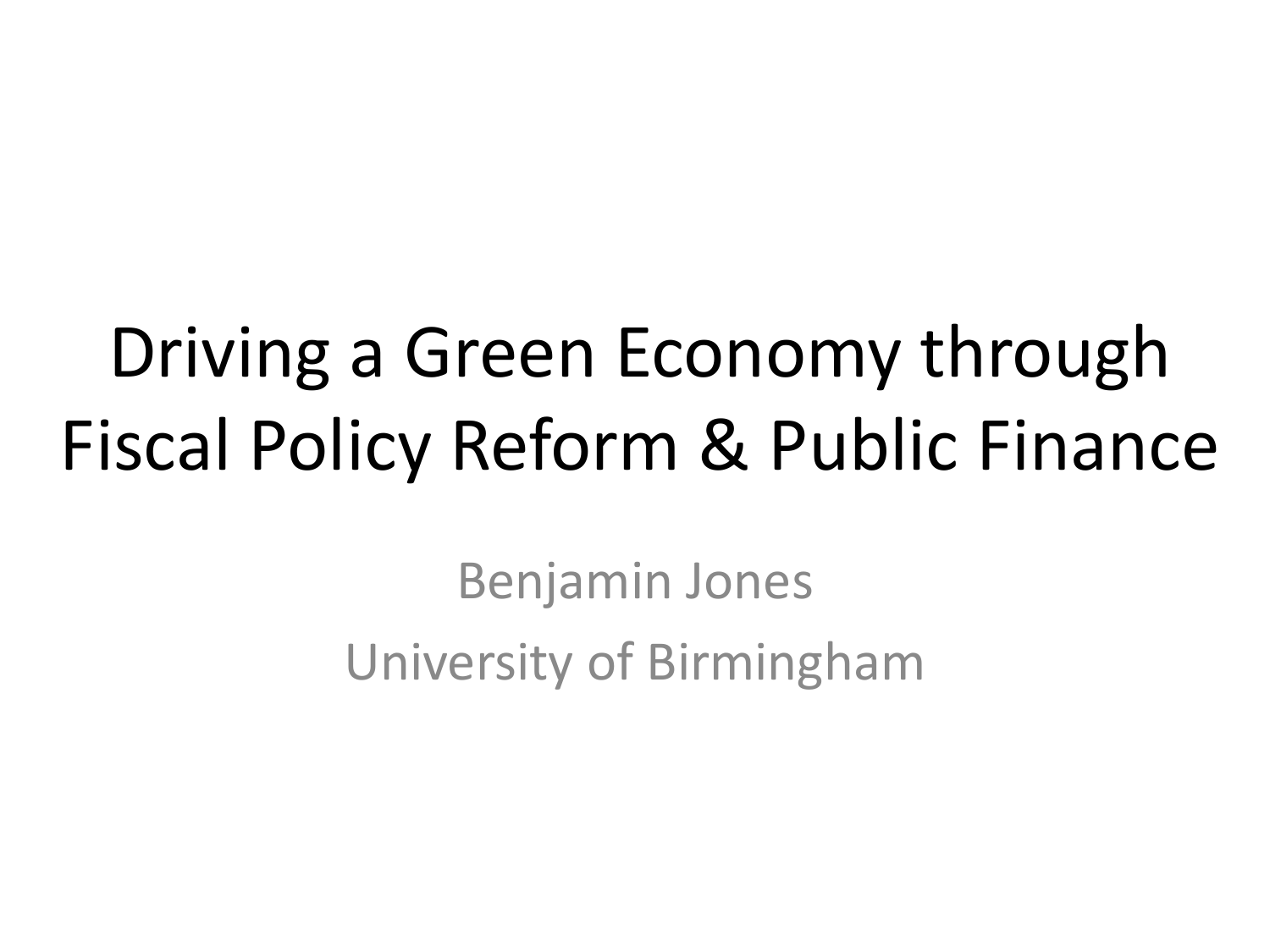### Driving a Green Economy through Fiscal Policy Reform & Public Finance

Benjamin Jones University of Birmingham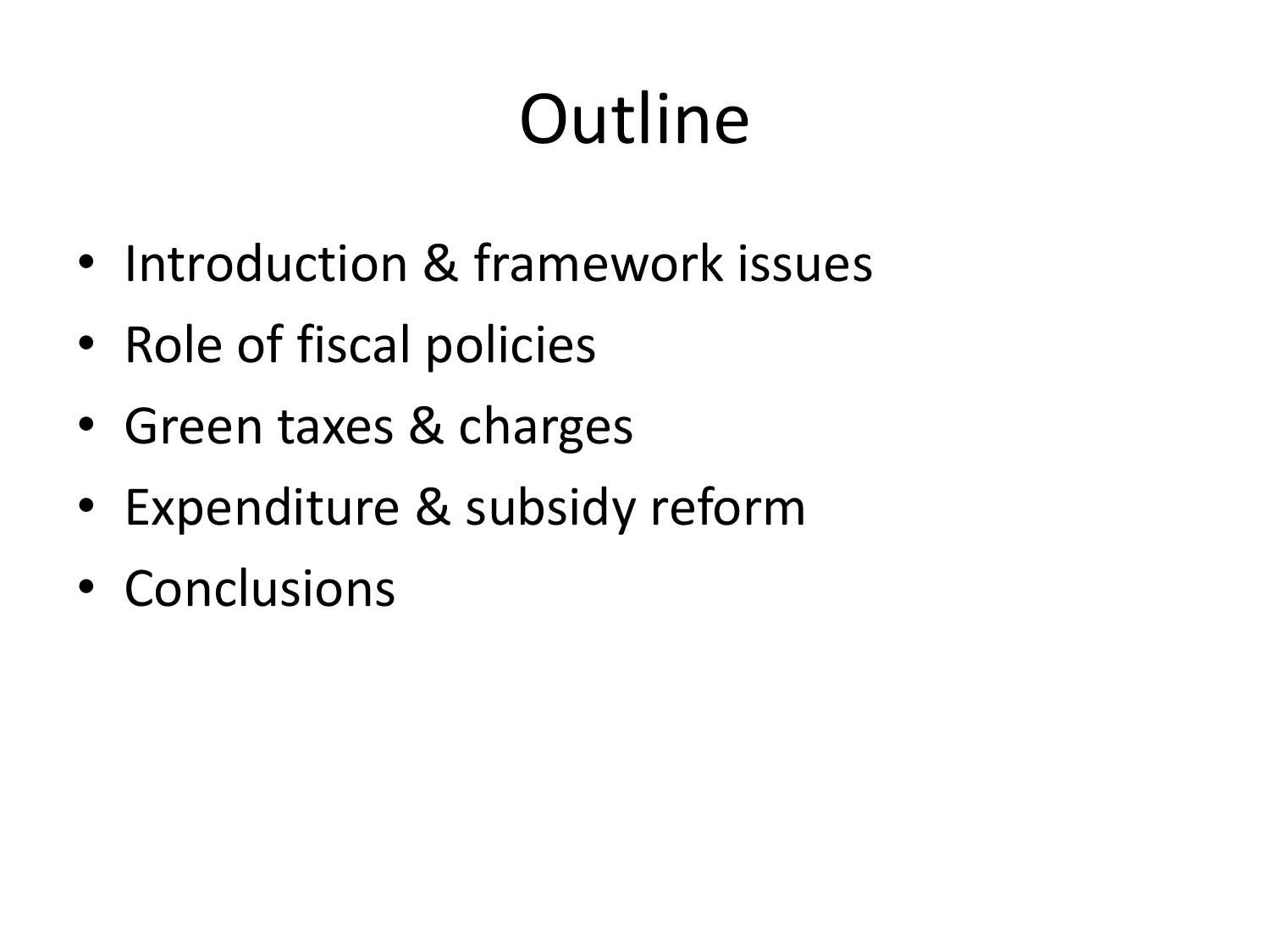# **Outline**

- Introduction & framework issues
- Role of fiscal policies
- Green taxes & charges
- Expenditure & subsidy reform
- Conclusions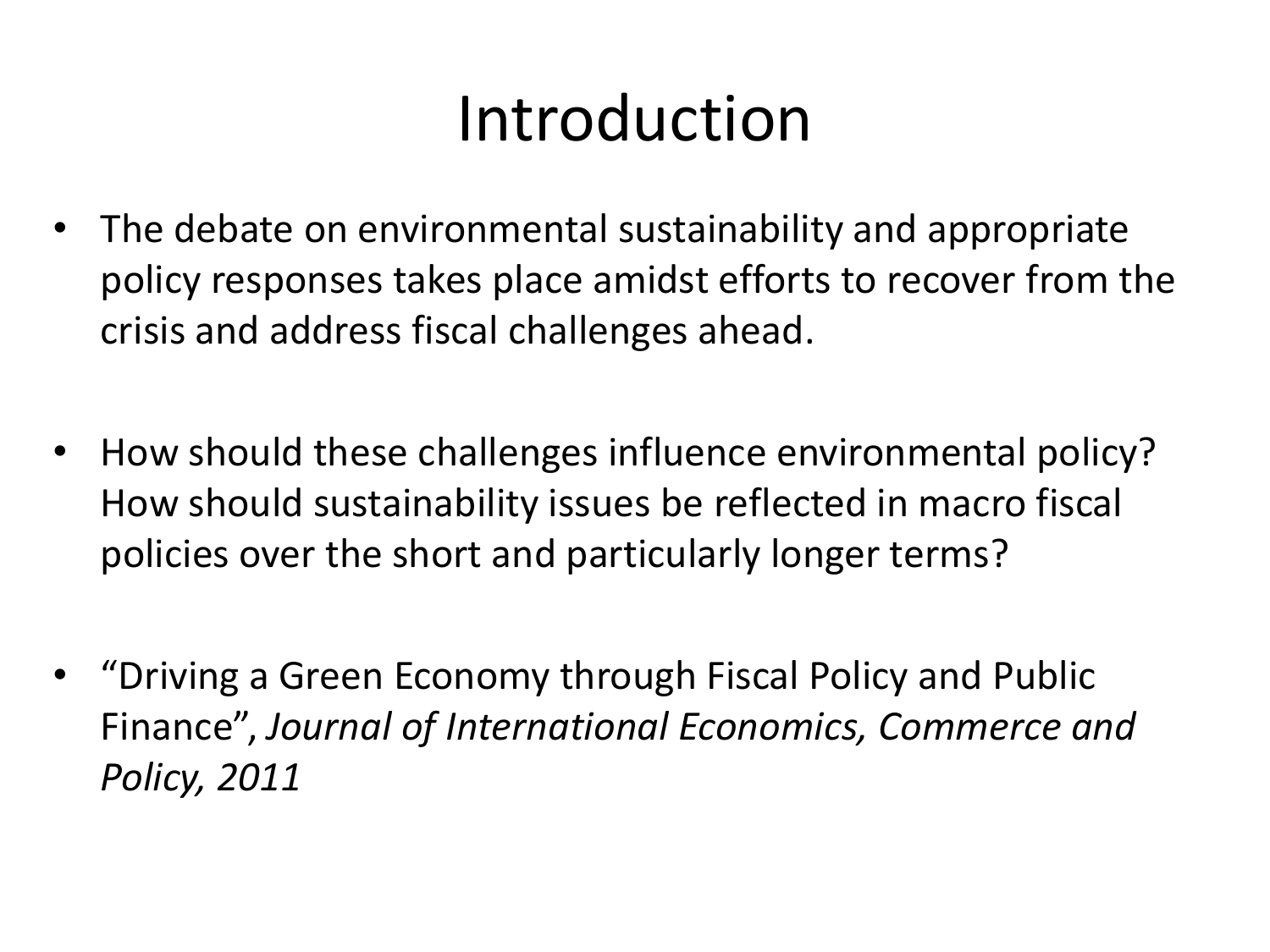#### Introduction

- The debate on environmental sustainability and appropriate policy responses takes place amidst efforts to recover from the crisis and address fiscal challenges ahead.
- How should these challenges influence environmental policy? How should sustainability issues be reflected in macro fiscal policies over the short and particularly longer terms?
- "Driving a Green Economy through Fiscal Policy and Public Finance", *Journal of International Economics, Commerce and Policy, 2011*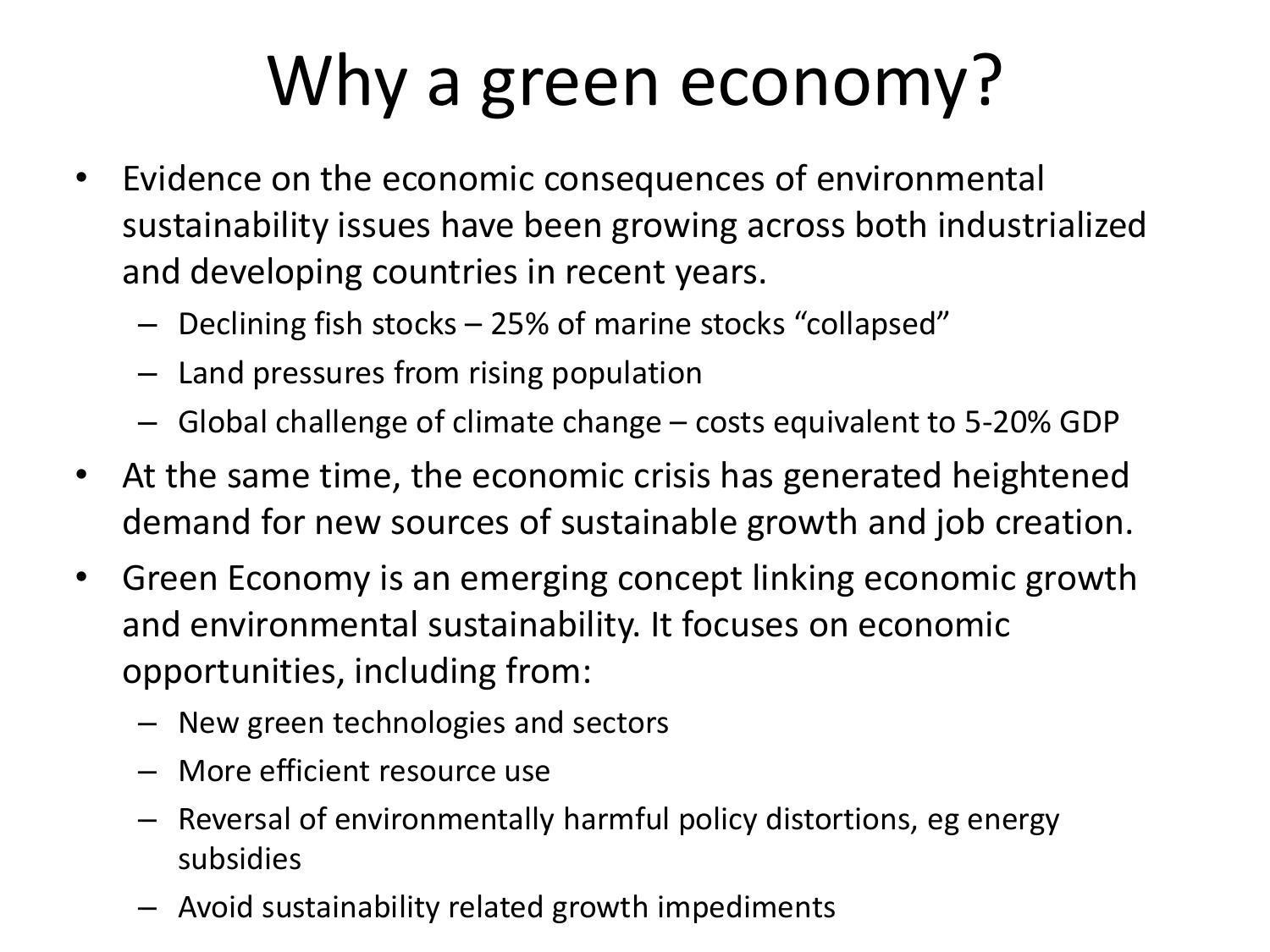## Why a green economy?

- Evidence on the economic consequences of environmental sustainability issues have been growing across both industrialized and developing countries in recent years.
	- Declining fish stocks 25% of marine stocks "collapsed"
	- Land pressures from rising population
	- Global challenge of climate change costs equivalent to 5-20% GDP
- At the same time, the economic crisis has generated heightened demand for new sources of sustainable growth and job creation.
- Green Economy is an emerging concept linking economic growth and environmental sustainability. It focuses on economic opportunities, including from:
	- New green technologies and sectors
	- More efficient resource use
	- Reversal of environmentally harmful policy distortions, eg energy subsidies
	- Avoid sustainability related growth impediments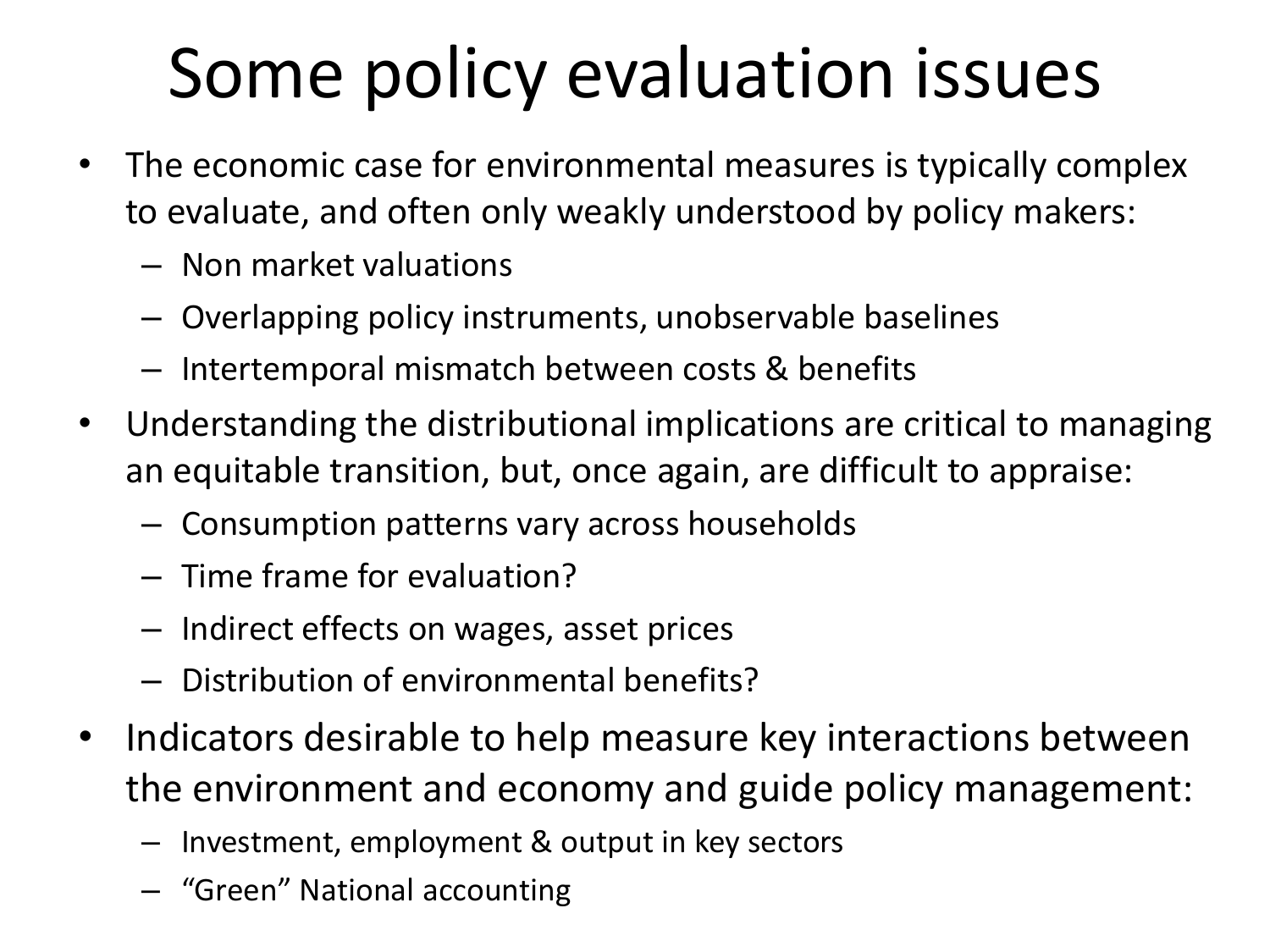#### Some policy evaluation issues

- The economic case for environmental measures is typically complex to evaluate, and often only weakly understood by policy makers:
	- Non market valuations
	- Overlapping policy instruments, unobservable baselines
	- Intertemporal mismatch between costs & benefits
- Understanding the distributional implications are critical to managing an equitable transition, but, once again, are difficult to appraise:
	- Consumption patterns vary across households
	- Time frame for evaluation?
	- Indirect effects on wages, asset prices
	- Distribution of environmental benefits?
- Indicators desirable to help measure key interactions between the environment and economy and guide policy management:
	- Investment, employment & output in key sectors
	- "Green" National accounting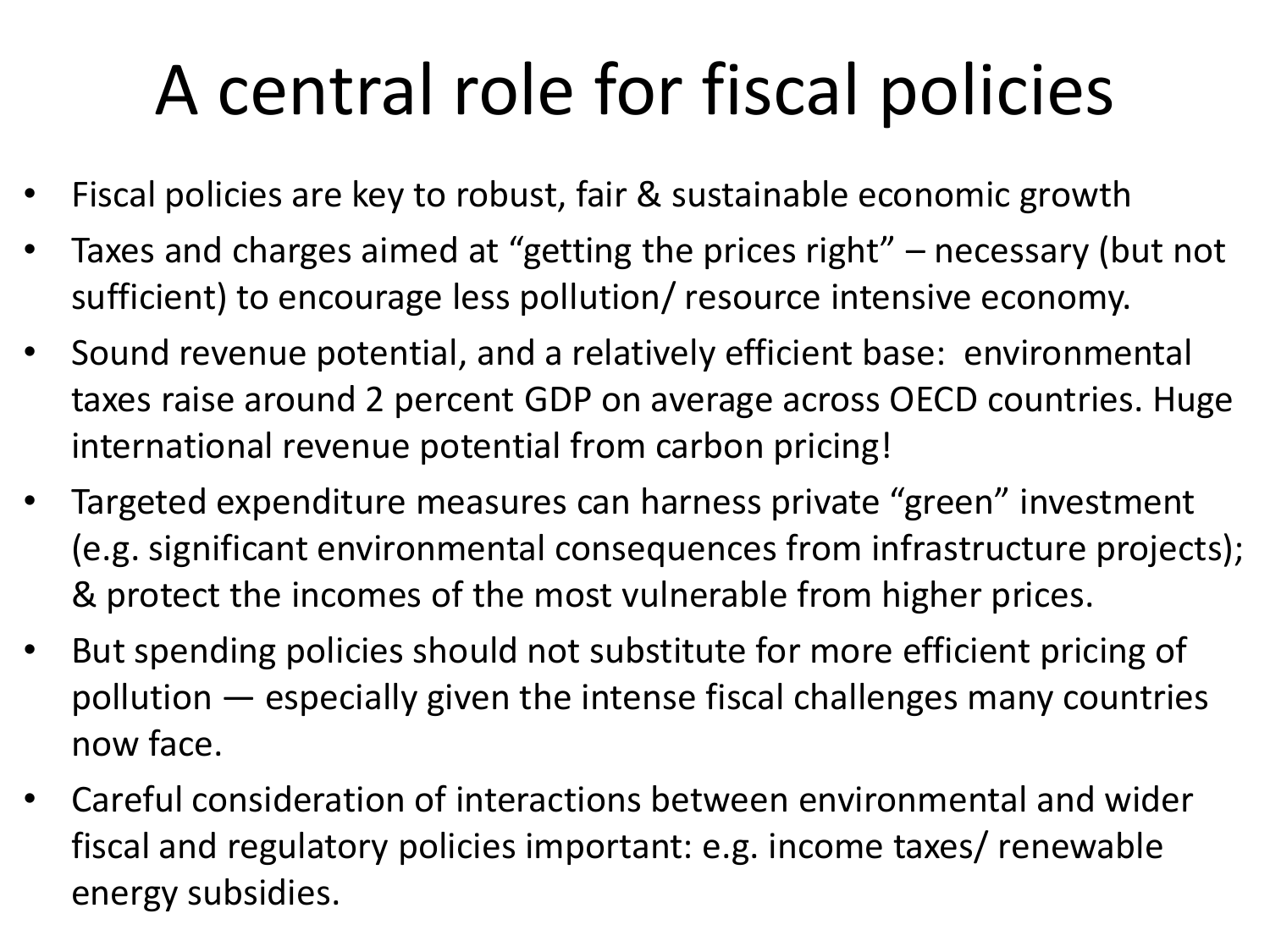### A central role for fiscal policies

- Fiscal policies are key to robust, fair & sustainable economic growth
- Taxes and charges aimed at "getting the prices right" necessary (but not sufficient) to encourage less pollution/ resource intensive economy.
- Sound revenue potential, and a relatively efficient base: environmental taxes raise around 2 percent GDP on average across OECD countries. Huge international revenue potential from carbon pricing!
- Targeted expenditure measures can harness private "green" investment (e.g. significant environmental consequences from infrastructure projects); & protect the incomes of the most vulnerable from higher prices.
- But spending policies should not substitute for more efficient pricing of pollution — especially given the intense fiscal challenges many countries now face.
- Careful consideration of interactions between environmental and wider fiscal and regulatory policies important: e.g. income taxes/ renewable energy subsidies.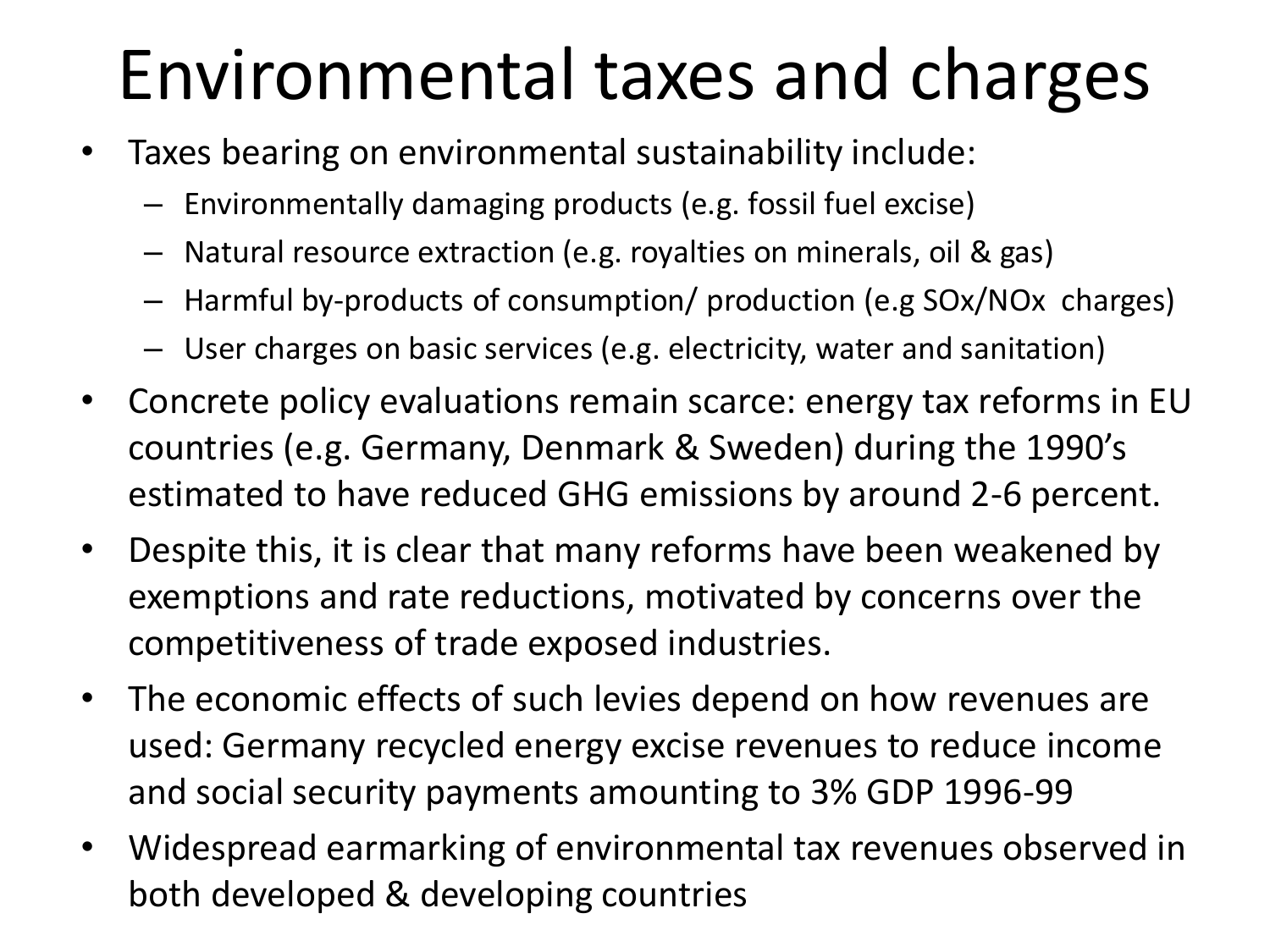### Environmental taxes and charges

- Taxes bearing on environmental sustainability include:
	- Environmentally damaging products (e.g. fossil fuel excise)
	- Natural resource extraction (e.g. royalties on minerals, oil & gas)
	- Harmful by-products of consumption/ production (e.g SOx/NOx charges)
	- User charges on basic services (e.g. electricity, water and sanitation)
- Concrete policy evaluations remain scarce: energy tax reforms in EU countries (e.g. Germany, Denmark & Sweden) during the 1990's estimated to have reduced GHG emissions by around 2-6 percent.
- Despite this, it is clear that many reforms have been weakened by exemptions and rate reductions, motivated by concerns over the competitiveness of trade exposed industries.
- The economic effects of such levies depend on how revenues are used: Germany recycled energy excise revenues to reduce income and social security payments amounting to 3% GDP 1996-99
- Widespread earmarking of environmental tax revenues observed in both developed & developing countries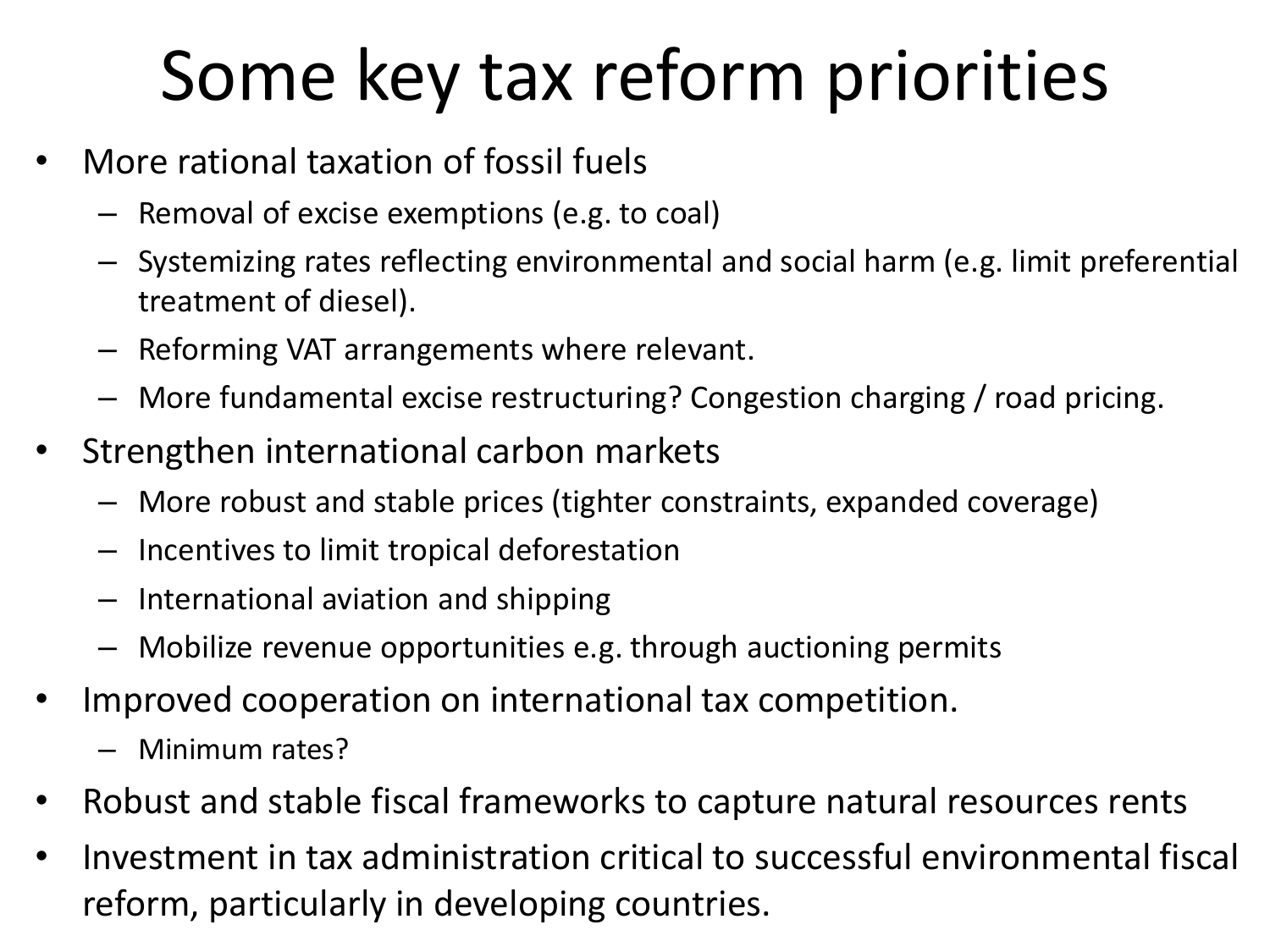#### Some key tax reform priorities

- More rational taxation of fossil fuels
	- Removal of excise exemptions (e.g. to coal)
	- Systemizing rates reflecting environmental and social harm (e.g. limit preferential treatment of diesel).
	- Reforming VAT arrangements where relevant.
	- More fundamental excise restructuring? Congestion charging / road pricing.
- Strengthen international carbon markets
	- More robust and stable prices (tighter constraints, expanded coverage)
	- Incentives to limit tropical deforestation
	- International aviation and shipping
	- Mobilize revenue opportunities e.g. through auctioning permits
- Improved cooperation on international tax competition.
	- Minimum rates?
- Robust and stable fiscal frameworks to capture natural resources rents
- Investment in tax administration critical to successful environmental fiscal reform, particularly in developing countries.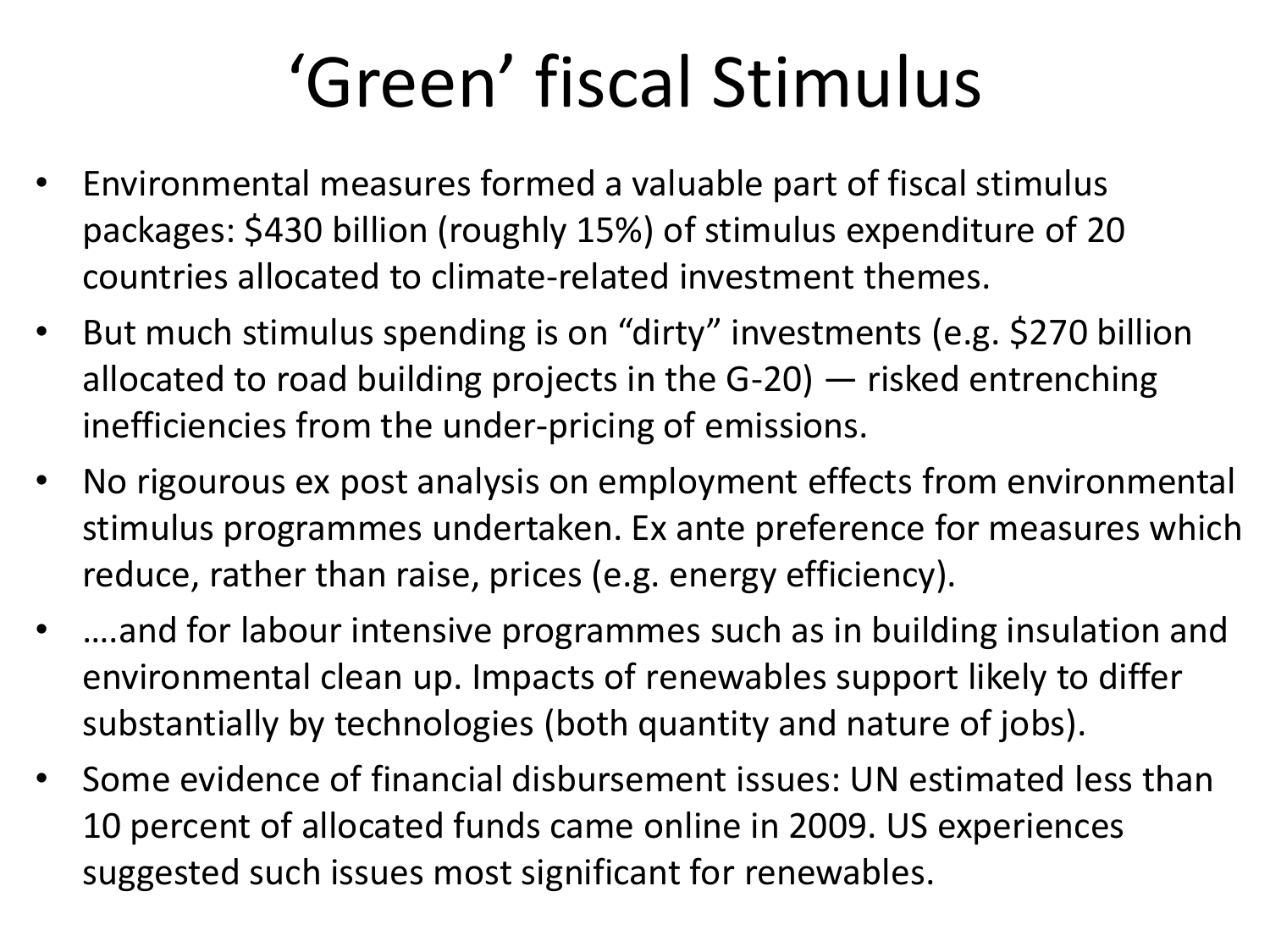### 'Green' fiscal Stimulus

- Environmental measures formed a valuable part of fiscal stimulus packages: \$430 billion (roughly 15%) of stimulus expenditure of 20 countries allocated to climate-related investment themes.
- But much stimulus spending is on "dirty" investments (e.g. \$270 billion allocated to road building projects in the G-20) — risked entrenching inefficiencies from the under-pricing of emissions.
- No rigourous ex post analysis on employment effects from environmental stimulus programmes undertaken. Ex ante preference for measures which reduce, rather than raise, prices (e.g. energy efficiency).
- ....and for labour intensive programmes such as in building insulation and environmental clean up. Impacts of renewables support likely to differ substantially by technologies (both quantity and nature of jobs).
- Some evidence of financial disbursement issues: UN estimated less than 10 percent of allocated funds came online in 2009. US experiences suggested such issues most significant for renewables.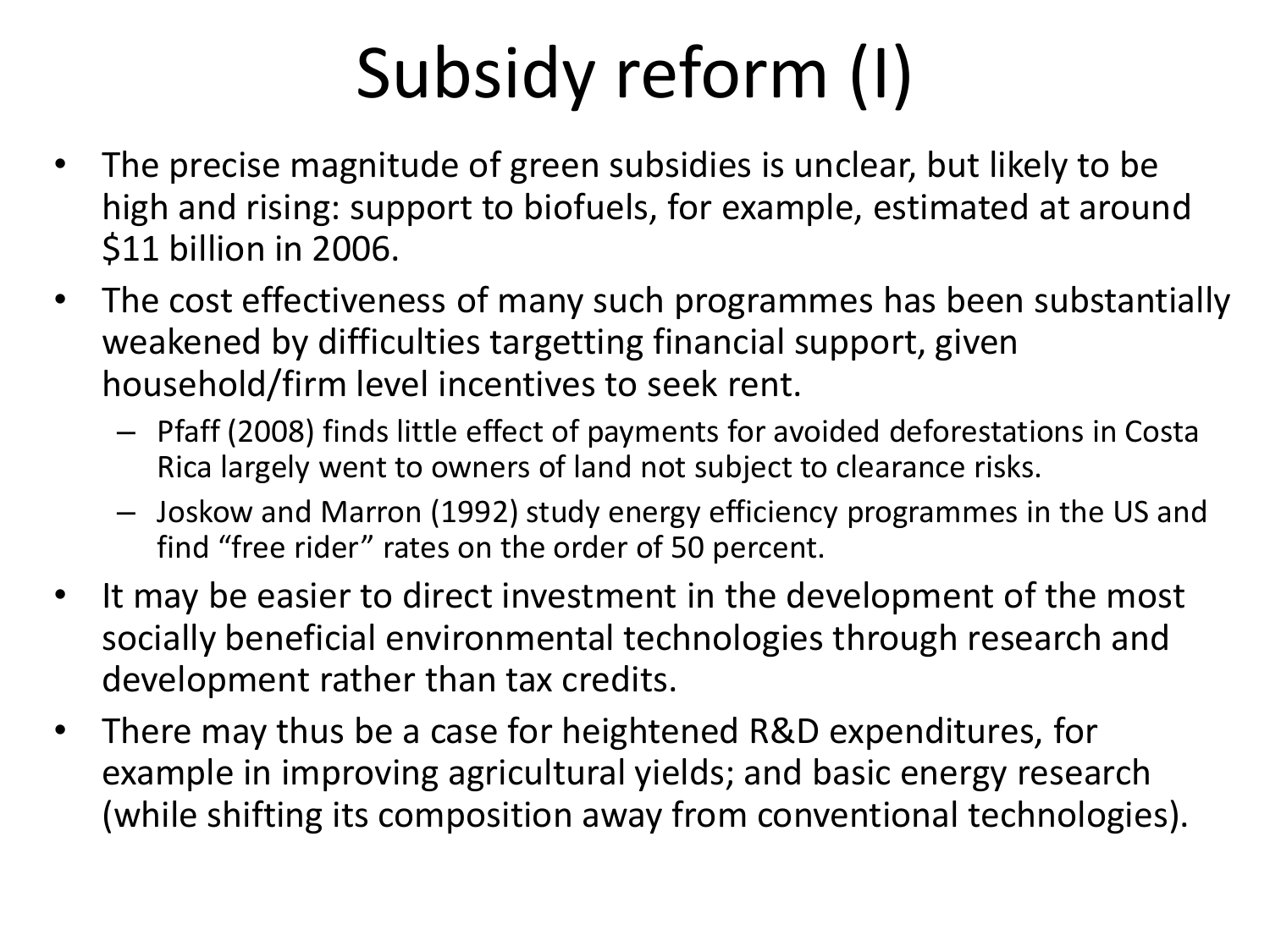# Subsidy reform (I)

- The precise magnitude of green subsidies is unclear, but likely to be high and rising: support to biofuels, for example, estimated at around \$11 billion in 2006.
- The cost effectiveness of many such programmes has been substantially weakened by difficulties targetting financial support, given household/firm level incentives to seek rent.
	- Pfaff (2008) finds little effect of payments for avoided deforestations in Costa Rica largely went to owners of land not subject to clearance risks.
	- Joskow and Marron (1992) study energy efficiency programmes in the US and find "free rider" rates on the order of 50 percent.
- It may be easier to direct investment in the development of the most socially beneficial environmental technologies through research and development rather than tax credits.
- There may thus be a case for heightened R&D expenditures, for example in improving agricultural yields; and basic energy research (while shifting its composition away from conventional technologies).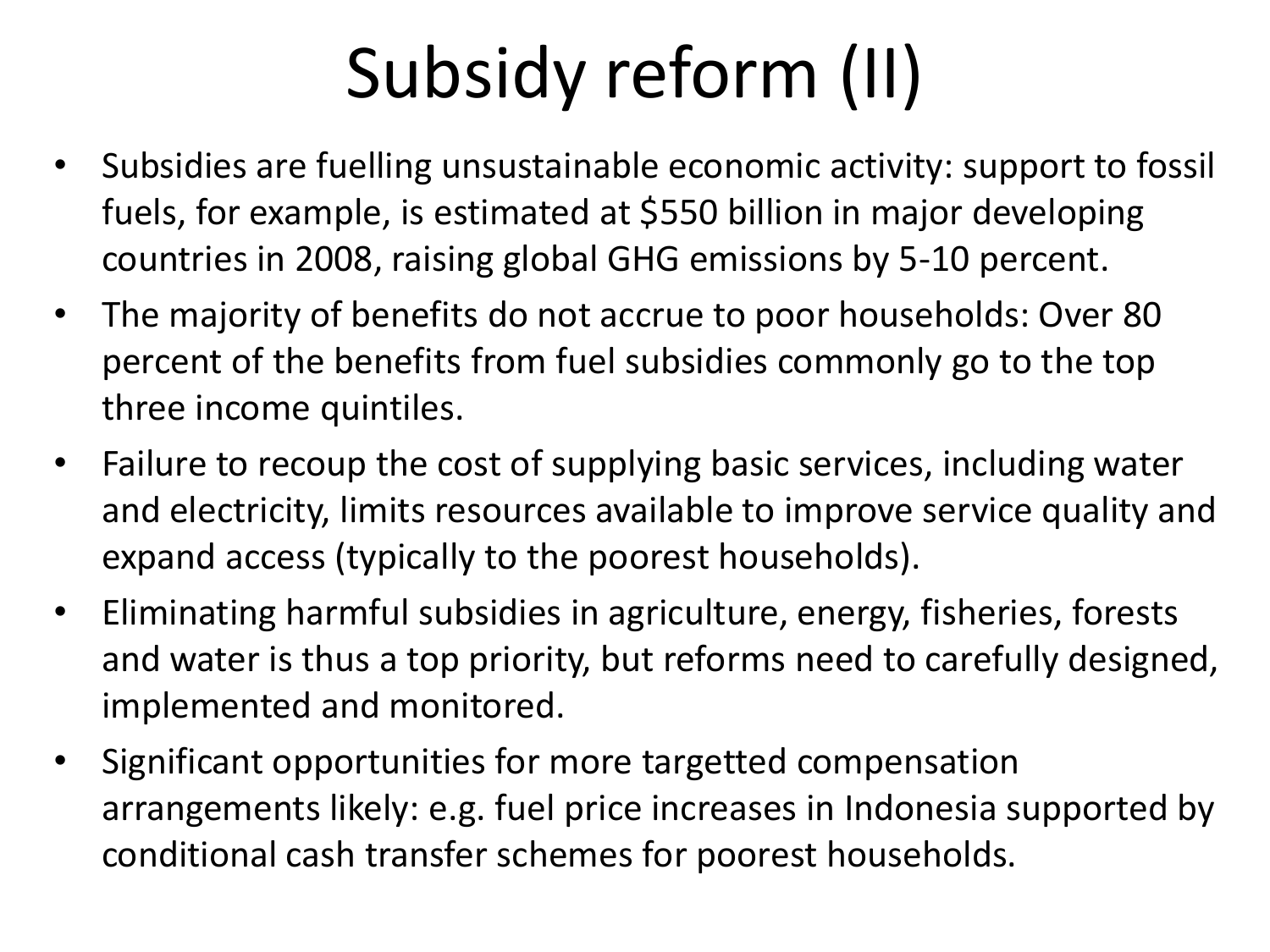# Subsidy reform (II)

- Subsidies are fuelling unsustainable economic activity: support to fossil fuels, for example, is estimated at \$550 billion in major developing countries in 2008, raising global GHG emissions by 5-10 percent.
- The majority of benefits do not accrue to poor households: Over 80 percent of the benefits from fuel subsidies commonly go to the top three income quintiles.
- Failure to recoup the cost of supplying basic services, including water and electricity, limits resources available to improve service quality and expand access (typically to the poorest households).
- Eliminating harmful subsidies in agriculture, energy, fisheries, forests and water is thus a top priority, but reforms need to carefully designed, implemented and monitored.
- Significant opportunities for more targetted compensation arrangements likely: e.g. fuel price increases in Indonesia supported by conditional cash transfer schemes for poorest households.